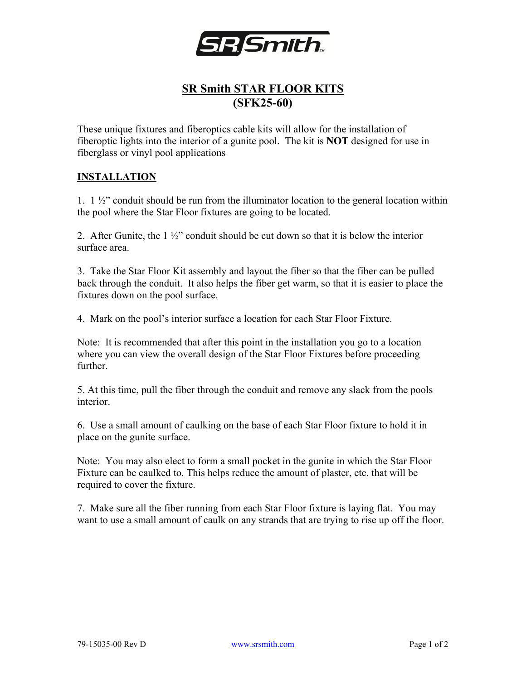

## **SR Smith STAR FLOOR KITS (SFK25-60)**

These unique fixtures and fiberoptics cable kits will allow for the installation of fiberoptic lights into the interior of a gunite pool. The kit is **NOT** designed for use in fiberglass or vinyl pool applications

## **INSTALLATION**

1.  $1\frac{1}{2}$  conduit should be run from the illuminator location to the general location within the pool where the Star Floor fixtures are going to be located.

2. After Gunite, the  $1\frac{1}{2}$  conduit should be cut down so that it is below the interior surface area.

3. Take the Star Floor Kit assembly and layout the fiber so that the fiber can be pulled back through the conduit. It also helps the fiber get warm, so that it is easier to place the fixtures down on the pool surface.

4. Mark on the pool's interior surface a location for each Star Floor Fixture.

Note: It is recommended that after this point in the installation you go to a location where you can view the overall design of the Star Floor Fixtures before proceeding further.

5. At this time, pull the fiber through the conduit and remove any slack from the pools interior.

6. Use a small amount of caulking on the base of each Star Floor fixture to hold it in place on the gunite surface.

Note: You may also elect to form a small pocket in the gunite in which the Star Floor Fixture can be caulked to. This helps reduce the amount of plaster, etc. that will be required to cover the fixture.

7. Make sure all the fiber running from each Star Floor fixture is laying flat. You may want to use a small amount of caulk on any strands that are trying to rise up off the floor.